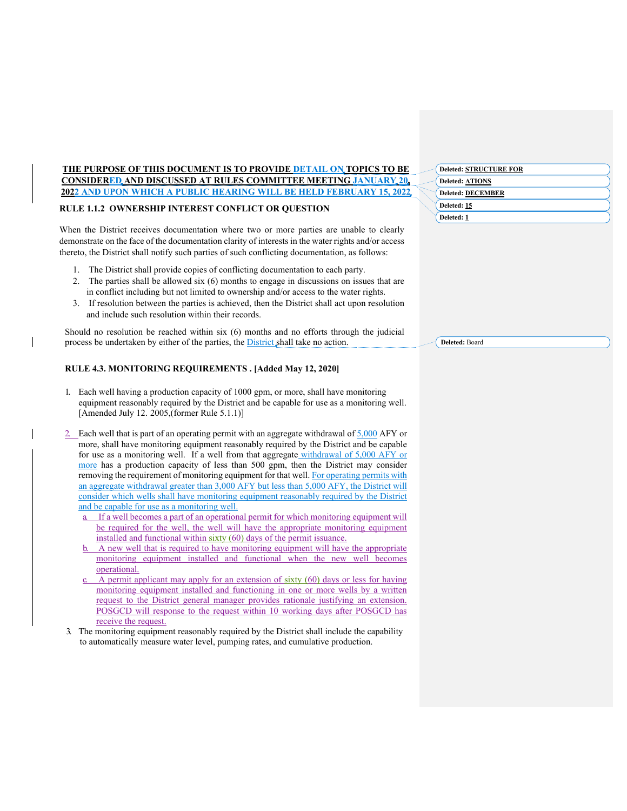## **THE PURPOSE OF THIS DOCUMENT IS TO PROVIDE DETAIL ON TOPICS TO BE CONSIDERED AND DISCUSSED AT RULES COMMITTEE MEETING JANUARY 20, 2022 AND UPON WHICH A PUBLIC HEARING WILL BE HELD FEBRUARY 15, 2022**

## **RULE 1.1.2 OWNERSHIP INTEREST CONFLICT OR QUESTION**

When the District receives documentation where two or more parties are unable to clearly demonstrate on the face of the documentation clarity of interests in the water rights and/or access thereto, the District shall notify such parties of such conflicting documentation, as follows:

- 1. The District shall provide copies of conflicting documentation to each party.
- 2. The parties shall be allowed six (6) months to engage in discussions on issues that are in conflict including but not limited to ownership and/or access to the water rights.
- 3. If resolution between the parties is achieved, then the District shall act upon resolution and include such resolution within their records.

Should no resolution be reached within six (6) months and no efforts through the judicial process be undertaken by either of the parties, the **District** shall take no action.

# **RULE 4.3. MONITORING REQUIREMENTS . [Added May 12, 2020]**

- 1. Each well having a production capacity of 1000 gpm, or more, shall have monitoring equipment reasonably required by the District and be capable for use as a monitoring well. [Amended July 12. 2005,(former Rule 5.1.1)]
- 2. Each well that is part of an operating permit with an aggregate withdrawal of  $\frac{5,000}{2}$  AFY or more, shall have monitoring equipment reasonably required by the District and be capable for use as a monitoring well. If a well from that aggregate withdrawal of 5,000 AFY or more has a production capacity of less than 500 gpm, then the District may consider removing the requirement of monitoring equipment for that well. For operating permits with an aggregate withdrawal greater than 3,000 AFY but less than 5,000 AFY, the District will consider which wells shall have monitoring equipment reasonably required by the District and be capable for use as a monitoring well.
	- If a well becomes a part of an operational permit for which monitoring equipment will be required for the well, the well will have the appropriate monitoring equipment installed and functional within sixty (60) days of the permit issuance.
	- b. A new well that is required to have monitoring equipment will have the appropriate monitoring equipment installed and functional when the new well becomes operational.
	- A permit applicant may apply for an extension of sixty  $(60)$  days or less for having monitoring equipment installed and functioning in one or more wells by a written request to the District general manager provides rationale justifying an extension. POSGCD will response to the request within 10 working days after POSGCD has receive the request.
- 3. The monitoring equipment reasonably required by the District shall include the capability to automatically measure water level, pumping rates, and cumulative production.

| <b>Deleted: STRUCTURE FOR</b> |
|-------------------------------|
| <b>Deleted: ATIONS</b>        |
| <b>Deleted: DECEMBER</b>      |
| Deleted: 15                   |
| Deleted: 1                    |

**Deleted:** Board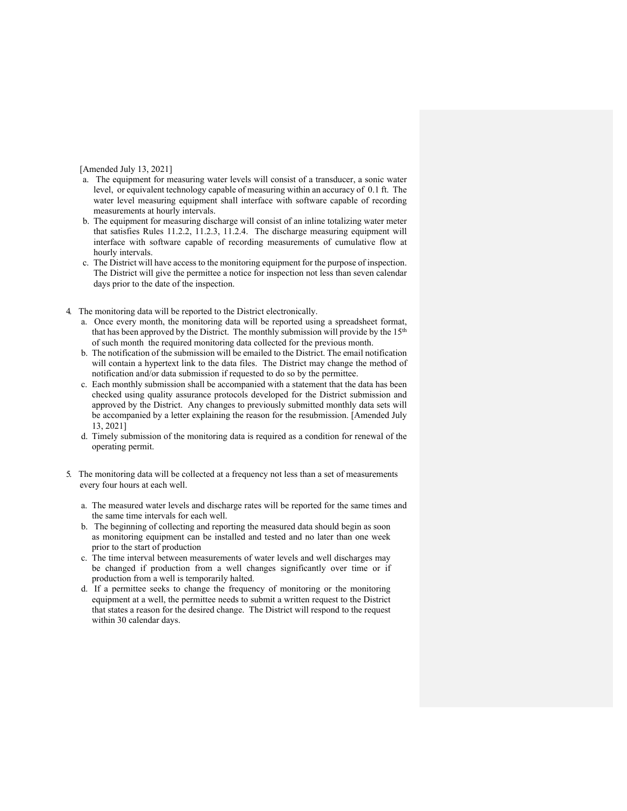[Amended July 13, 2021]

- a. The equipment for measuring water levels will consist of a transducer, a sonic water level, or equivalent technology capable of measuring within an accuracy of 0.1 ft. The water level measuring equipment shall interface with software capable of recording measurements at hourly intervals.
- b. The equipment for measuring discharge will consist of an inline totalizing water meter that satisfies Rules 11.2.2, 11.2.3, 11.2.4. The discharge measuring equipment will interface with software capable of recording measurements of cumulative flow at hourly intervals.
- c. The District will have access to the monitoring equipment for the purpose of inspection. The District will give the permittee a notice for inspection not less than seven calendar days prior to the date of the inspection.
- 4. The monitoring data will be reported to the District electronically.
	- a. Once every month, the monitoring data will be reported using a spreadsheet format, that has been approved by the District. The monthly submission will provide by the  $15<sup>th</sup>$ of such month the required monitoring data collected for the previous month.
	- b. The notification of the submission will be emailed to the District. The email notification will contain a hypertext link to the data files. The District may change the method of notification and/or data submission if requested to do so by the permittee.
	- c. Each monthly submission shall be accompanied with a statement that the data has been checked using quality assurance protocols developed for the District submission and approved by the District. Any changes to previously submitted monthly data sets will be accompanied by a letter explaining the reason for the resubmission. [Amended July 13, 2021]
	- d. Timely submission of the monitoring data is required as a condition for renewal of the operating permit.
- 5. The monitoring data will be collected at a frequency not less than a set of measurements every four hours at each well.
	- a. The measured water levels and discharge rates will be reported for the same times and the same time intervals for each well.
	- b. The beginning of collecting and reporting the measured data should begin as soon as monitoring equipment can be installed and tested and no later than one week prior to the start of production
	- c. The time interval between measurements of water levels and well discharges may be changed if production from a well changes significantly over time or if production from a well is temporarily halted.
	- d. If a permittee seeks to change the frequency of monitoring or the monitoring equipment at a well, the permittee needs to submit a written request to the District that states a reason for the desired change. The District will respond to the request within 30 calendar days.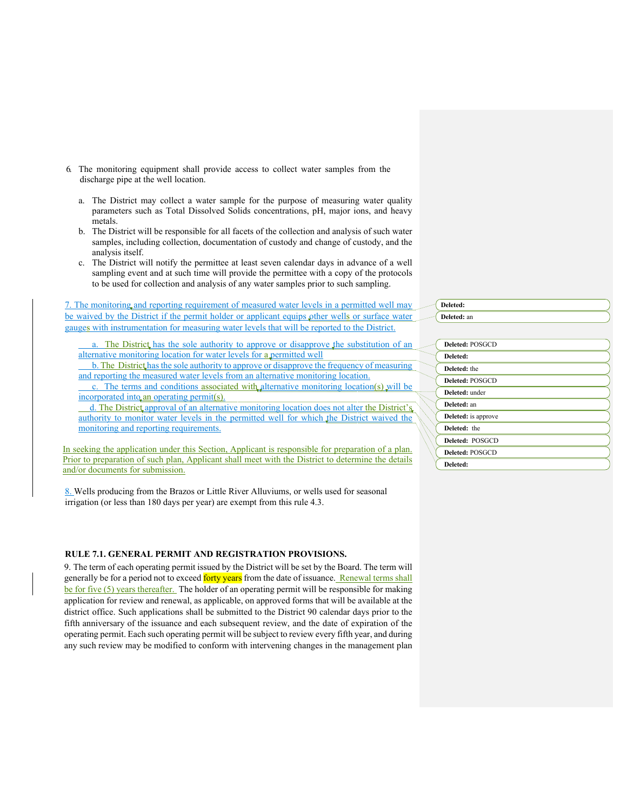- 6. The monitoring equipment shall provide access to collect water samples from the discharge pipe at the well location.
	- a. The District may collect a water sample for the purpose of measuring water quality parameters such as Total Dissolved Solids concentrations, pH, major ions, and heavy metals.
	- b. The District will be responsible for all facets of the collection and analysis of such water samples, including collection, documentation of custody and change of custody, and the analysis itself.
	- c. The District will notify the permittee at least seven calendar days in advance of a well sampling event and at such time will provide the permittee with a copy of the protocols to be used for collection and analysis of any water samples prior to such sampling.

7. The monitoring and reporting requirement of measured water levels in a permitted well may be waived by the District if the permit holder or applicant equips other wells or surface water gauges with instrumentation for measuring water levels that will be reported to the District.

The District has the sole authority to approve or disapprove the substitution of an alternative monitoring location for water levels for a permitted well

b. The District has the sole authority to approve or disapprove the frequency of measuring and reporting the measured water levels from an alternative monitoring location. c. The terms and conditions associated with alternative monitoring location(s) will be

incorporated into an operating permit(s).

 d. The District approval of an alternative monitoring location does not alter the District's authority to monitor water levels in the permitted well for which the District waived the monitoring and reporting requirements.

In seeking the application under this Section, Applicant is responsible for preparation of a plan. Prior to preparation of such plan, Applicant shall meet with the District to determine the details and/or documents for submission.

8. Wells producing from the Brazos or Little River Alluviums, or wells used for seasonal irrigation (or less than 180 days per year) are exempt from this rule 4.3.

#### **RULE 7.1. GENERAL PERMIT AND REGISTRATION PROVISIONS.**

9. The term of each operating permit issued by the District will be set by the Board. The term will generally be for a period not to exceed forty years from the date of issuance. Renewal terms shall be for five (5) years thereafter. The holder of an operating permit will be responsible for making application for review and renewal, as applicable, on approved forms that will be available at the district office. Such applications shall be submitted to the District 90 calendar days prior to the fifth anniversary of the issuance and each subsequent review, and the date of expiration of the operating permit. Each such operating permit will be subject to review every fifth year, and during any such review may be modified to conform with intervening changes in the management plan

| .ed | Deleted:    |
|-----|-------------|
| اس  | Deleted: an |

| Deleted: POSGCD     |
|---------------------|
| Deleted:            |
| Deleted: the        |
| Deleted: POSGCD     |
| Deleted: under      |
| Deleted: an         |
| Deleted: is approve |
| Deleted: the        |
| Deleted: POSGCD     |
| Deleted: POSGCD     |
| Deleted:            |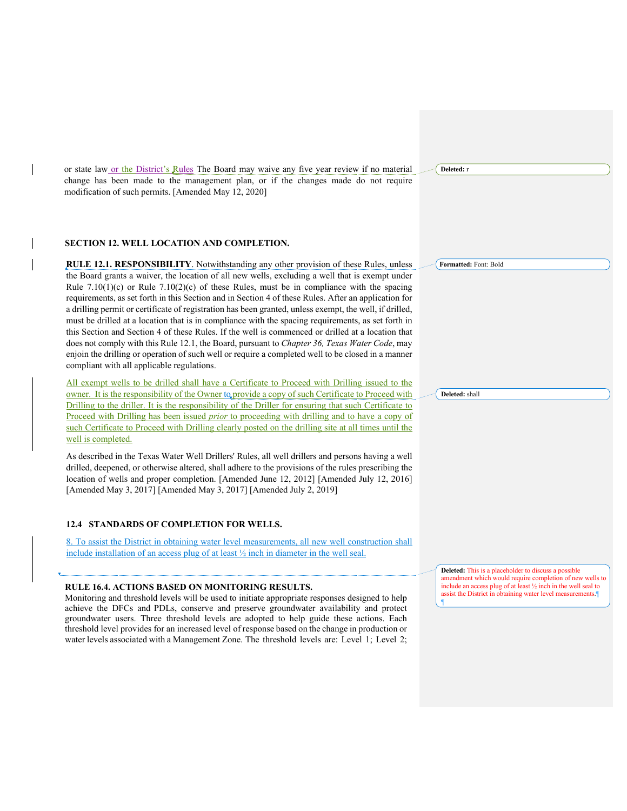or state law or the District's Rules The Board may waive any five year review if no material change has been made to the management plan, or if the changes made do not require modification of such permits. [Amended May 12, 2020]

## **SECTION 12. WELL LOCATION AND COMPLETION.**

**RULE 12.1. RESPONSIBILITY**. Notwithstanding any other provision of these Rules, unless the Board grants a waiver, the location of all new wells, excluding a well that is exempt under Rule  $7.10(1)(c)$  or Rule  $7.10(2)(c)$  of these Rules, must be in compliance with the spacing requirements, as set forth in this Section and in Section 4 of these Rules. After an application for a drilling permit or certificate of registration has been granted, unless exempt, the well, if drilled, must be drilled at a location that is in compliance with the spacing requirements, as set forth in this Section and Section 4 of these Rules. If the well is commenced or drilled at a location that does not comply with this Rule 12.1, the Board, pursuant to *Chapter 36, Texas Water Code*, may enjoin the drilling or operation of such well or require a completed well to be closed in a manner compliant with all applicable regulations.

All exempt wells to be drilled shall have a Certificate to Proceed with Drilling issued to the owner. It is the responsibility of the Owner to provide a copy of such Certificate to Proceed with Drilling to the driller. It is the responsibility of the Driller for ensuring that such Certificate to Proceed with Drilling has been issued *prior* to proceeding with drilling and to have a copy of such Certificate to Proceed with Drilling clearly posted on the drilling site at all times until the well is completed.

As described in the Texas Water Well Drillers' Rules, all well drillers and persons having a well drilled, deepened, or otherwise altered, shall adhere to the provisions of the rules prescribing the location of wells and proper completion. [Amended June 12, 2012] [Amended July 12, 2016] [Amended May 3, 2017] [Amended May 3, 2017] [Amended July 2, 2019]

## **12.4 STANDARDS OF COMPLETION FOR WELLS.**

8. To assist the District in obtaining water level measurements, all new well construction shall include installation of an access plug of at least  $\frac{1}{2}$  inch in diameter in the well seal.

#### **RULE 16.4. ACTIONS BASED ON MONITORING RESULTS.**

Monitoring and threshold levels will be used to initiate appropriate responses designed to help achieve the DFCs and PDLs, conserve and preserve groundwater availability and protect groundwater users. Three threshold levels are adopted to help guide these actions. Each threshold level provides for an increased level of response based on the change in production or water levels associated with a Management Zone. The threshold levels are: Level 1; Level 2; **Deleted:** r

**Formatted:** Font: Bold

**Deleted:** shall

**Deleted:** This is a placeholder to discuss a possible amendment which would require completion of new wells to include an access plug of at least ½ inch in the well seal to assist the District in obtaining water level measurements.¶ ¶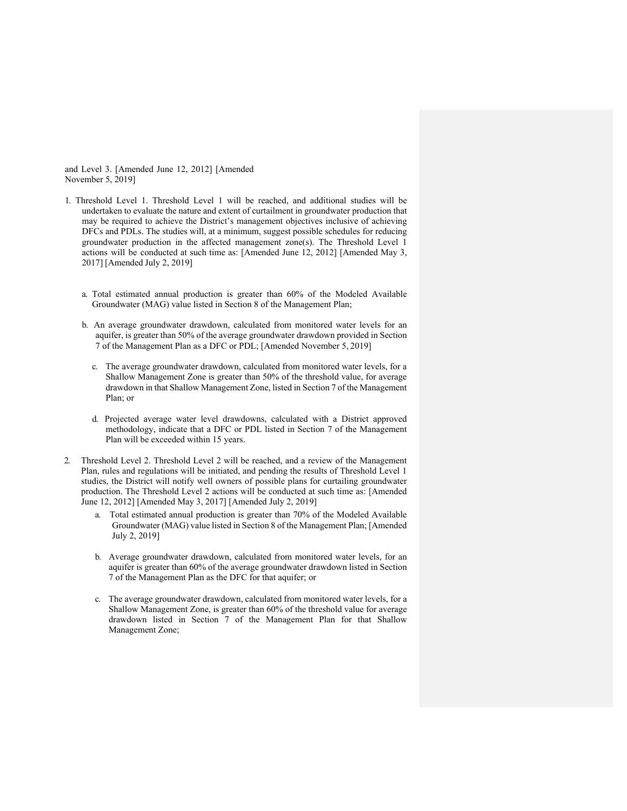and Level 3. [Amended June 12, 2012] [Amended November 5, 2019]

- 1. Threshold Level 1. Threshold Level 1 will be reached, and additional studies will be undertaken to evaluate the nature and extent of curtailment in groundwater production that may be required to achieve the District's management objectives inclusive of achieving DFCs and PDLs. The studies will, at a minimum, suggest possible schedules for reducing groundwater production in the affected management zone(s). The Threshold Level 1 actions will be conducted at such time as: [Amended June 12, 2012] [Amended May 3, 2017] [Amended July 2, 2019]
	- a. Total estimated annual production is greater than 60% of the Modeled Available Groundwater (MAG) value listed in Section 8 of the Management Plan;
	- b. An average groundwater drawdown, calculated from monitored water levels for an aquifer, is greater than 50% of the average groundwater drawdown provided in Section 7 of the Management Plan as a DFC or PDL; [Amended November 5, 2019]
		- c. The average groundwater drawdown, calculated from monitored water levels, for a Shallow Management Zone is greater than 50% of the threshold value, for average drawdown in that Shallow Management Zone, listed in Section 7 of the Management Plan; or
		- d. Projected average water level drawdowns, calculated with a District approved methodology, indicate that a DFC or PDL listed in Section 7 of the Management Plan will be exceeded within 15 years.
- 2. Threshold Level 2. Threshold Level 2 will be reached, and a review of the Management Plan, rules and regulations will be initiated, and pending the results of Threshold Level 1 studies, the District will notify well owners of possible plans for curtailing groundwater production. The Threshold Level 2 actions will be conducted at such time as: [Amended June 12, 2012] [Amended May 3, 2017] [Amended July 2, 2019]
	- a. Total estimated annual production is greater than 70% of the Modeled Available Groundwater (MAG) value listed in Section 8 of the Management Plan; [Amended July 2, 2019]
	- b. Average groundwater drawdown, calculated from monitored water levels, for an aquifer is greater than 60% of the average groundwater drawdown listed in Section 7 of the Management Plan as the DFC for that aquifer; or
	- c. The average groundwater drawdown, calculated from monitored water levels, for a Shallow Management Zone, is greater than 60% of the threshold value for average drawdown listed in Section 7 of the Management Plan for that Shallow Management Zone;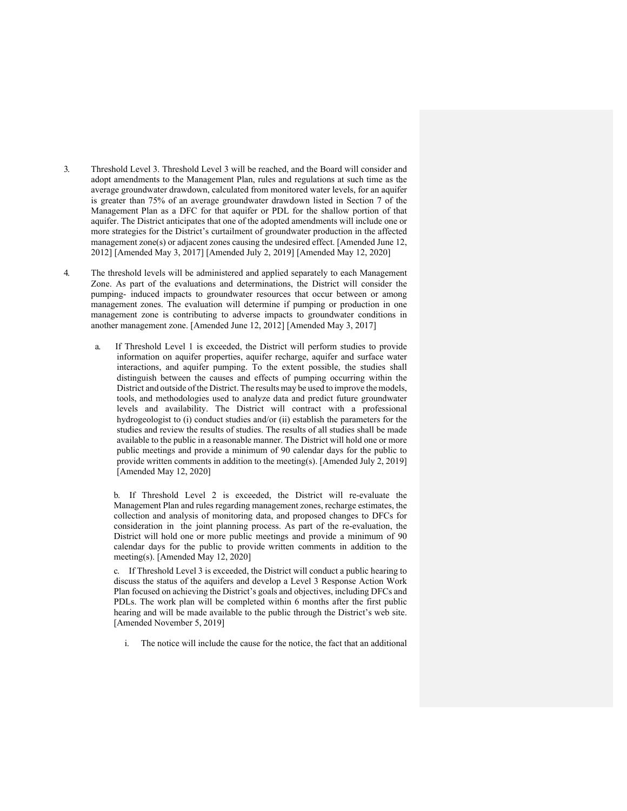- 3. Threshold Level 3. Threshold Level 3 will be reached, and the Board will consider and adopt amendments to the Management Plan, rules and regulations at such time as the average groundwater drawdown, calculated from monitored water levels, for an aquifer is greater than 75% of an average groundwater drawdown listed in Section 7 of the Management Plan as a DFC for that aquifer or PDL for the shallow portion of that aquifer. The District anticipates that one of the adopted amendments will include one or more strategies for the District's curtailment of groundwater production in the affected management zone(s) or adjacent zones causing the undesired effect. [Amended June 12, 2012] [Amended May 3, 2017] [Amended July 2, 2019] [Amended May 12, 2020]
- 4. The threshold levels will be administered and applied separately to each Management Zone. As part of the evaluations and determinations, the District will consider the pumping- induced impacts to groundwater resources that occur between or among management zones. The evaluation will determine if pumping or production in one management zone is contributing to adverse impacts to groundwater conditions in another management zone. [Amended June 12, 2012] [Amended May 3, 2017]
	- a. If Threshold Level 1 is exceeded, the District will perform studies to provide information on aquifer properties, aquifer recharge, aquifer and surface water interactions, and aquifer pumping. To the extent possible, the studies shall distinguish between the causes and effects of pumping occurring within the District and outside ofthe District. The results may be used to improve the models, tools, and methodologies used to analyze data and predict future groundwater levels and availability. The District will contract with a professional hydrogeologist to (i) conduct studies and/or (ii) establish the parameters for the studies and review the results of studies. The results of all studies shall be made available to the public in a reasonable manner. The District will hold one or more public meetings and provide a minimum of 90 calendar days for the public to provide written comments in addition to the meeting(s). [Amended July 2, 2019] [Amended May 12, 2020]

b. If Threshold Level 2 is exceeded, the District will re-evaluate the Management Plan and rules regarding management zones, recharge estimates, the collection and analysis of monitoring data, and proposed changes to DFCs for consideration in the joint planning process. As part of the re-evaluation, the District will hold one or more public meetings and provide a minimum of 90 calendar days for the public to provide written comments in addition to the meeting(s). [Amended May 12, 2020]

c. If Threshold Level 3 is exceeded, the District will conduct a public hearing to discuss the status of the aquifers and develop a Level 3 Response Action Work Plan focused on achieving the District's goals and objectives, including DFCs and PDLs. The work plan will be completed within 6 months after the first public hearing and will be made available to the public through the District's web site. [Amended November 5, 2019]

i. The notice will include the cause for the notice, the fact that an additional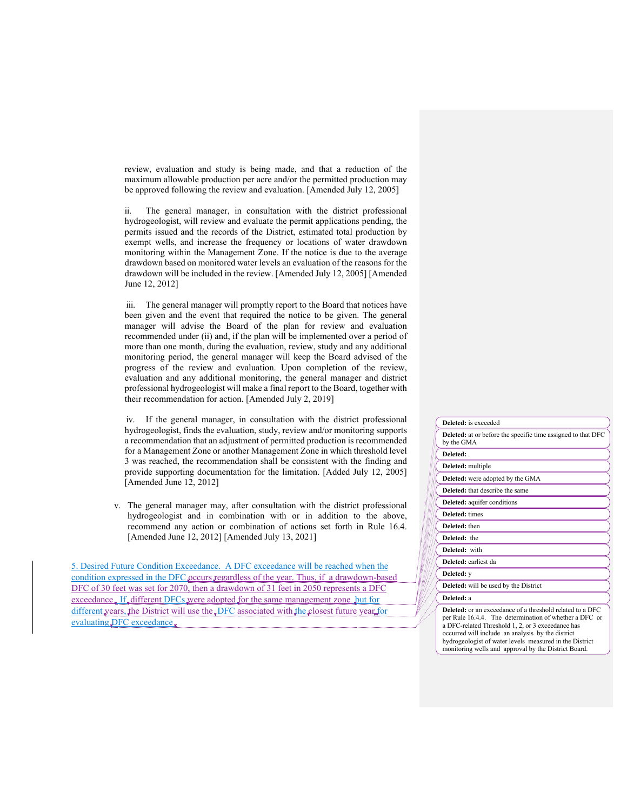review, evaluation and study is being made, and that a reduction of the maximum allowable production per acre and/or the permitted production may be approved following the review and evaluation. [Amended July 12, 2005]

ii. The general manager, in consultation with the district professional hydrogeologist, will review and evaluate the permit applications pending, the permits issued and the records of the District, estimated total production by exempt wells, and increase the frequency or locations of water drawdown monitoring within the Management Zone. If the notice is due to the average drawdown based on monitored water levels an evaluation of the reasons for the drawdown will be included in the review. [Amended July 12, 2005] [Amended June 12, 2012]

iii. The general manager will promptly report to the Board that notices have been given and the event that required the notice to be given. The general manager will advise the Board of the plan for review and evaluation recommended under (ii) and, if the plan will be implemented over a period of more than one month, during the evaluation, review, study and any additional monitoring period, the general manager will keep the Board advised of the progress of the review and evaluation. Upon completion of the review, evaluation and any additional monitoring, the general manager and district professional hydrogeologist will make a final report to the Board, together with their recommendation for action. [Amended July 2, 2019]

iv. If the general manager, in consultation with the district professional hydrogeologist, finds the evaluation, study, review and/or monitoring supports a recommendation that an adjustment of permitted production is recommended for a Management Zone or another Management Zone in which threshold level 3 was reached, the recommendation shall be consistent with the finding and provide supporting documentation for the limitation. [Added July 12, 2005] [Amended June 12, 2012]

v. The general manager may, after consultation with the district professional hydrogeologist and in combination with or in addition to the above, recommend any action or combination of actions set forth in Rule 16.4. [Amended June 12, 2012] [Amended July 13, 2021]

5. Desired Future Condition Exceedance. A DFC exceedance will be reached when the condition expressed in the DFC occurs regardless of the year. Thus, if a drawdown-based DFC of 30 feet was set for 2070, then a drawdown of 31 feet in 2050 represents a DFC exceedance. If. different DFCs were adopted for the same management zone but for different years, the District will use the DFC associated with the closest future year for evaluating DFC exceedance .

| Deleted: is exceeded                                                                                                                                                            |
|---------------------------------------------------------------------------------------------------------------------------------------------------------------------------------|
| <b>Deleted:</b> at or before the specific time assigned to that DFC<br>by the GMA                                                                                               |
| Deleted:                                                                                                                                                                        |
| Deleted: multiple                                                                                                                                                               |
| Deleted: were adopted by the GMA                                                                                                                                                |
| <b>Deleted:</b> that describe the same                                                                                                                                          |
| <b>Deleted:</b> aquifer conditions                                                                                                                                              |
| Deleted: times                                                                                                                                                                  |
| Deleted: then                                                                                                                                                                   |
| Deleted: the                                                                                                                                                                    |
| Deleted: with                                                                                                                                                                   |
| Deleted: earliest da                                                                                                                                                            |
| Deleted: y                                                                                                                                                                      |
| <b>Deleted:</b> will be used by the District                                                                                                                                    |
| Deleted: a                                                                                                                                                                      |
| <b>Deleted:</b> or an exceedance of a threshold related to a DFC<br>per Rule 16.4.4. The determination of whether a DFC or<br>a DFC-related Threshold 1, 2, or 3 exceedance has |

occurred will include an analysis by the district hydrogeologist of water levels measured in the District monitoring wells and approval by the District Board.